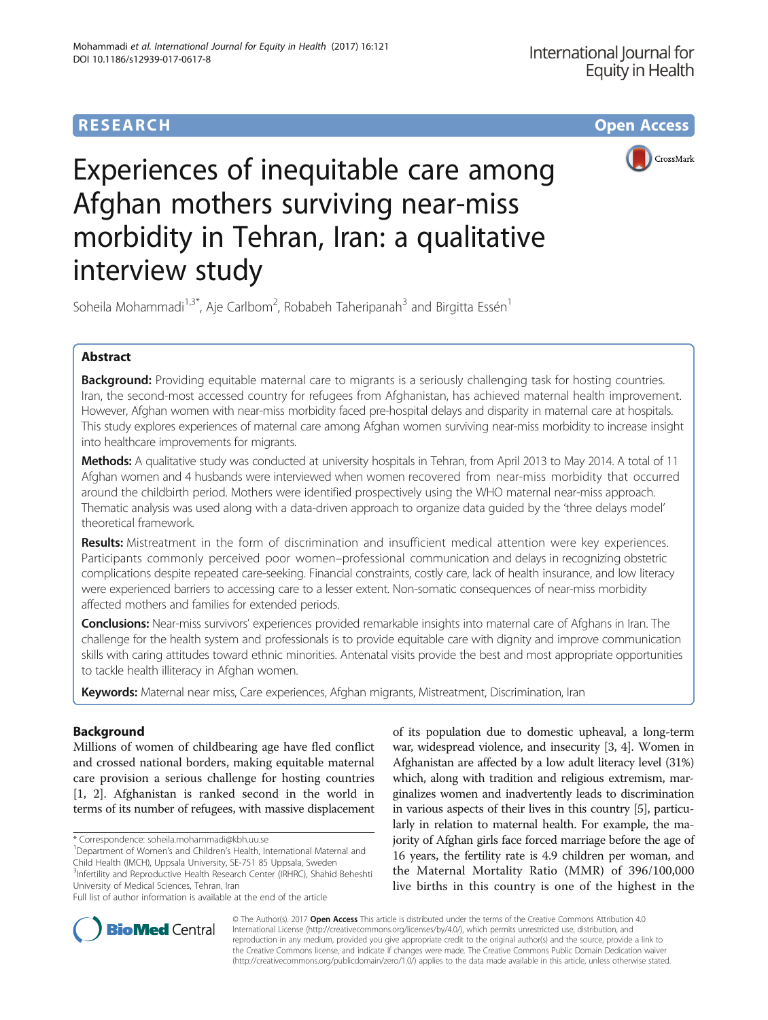# **RESEARCH CHILD CONTROL** CONTROL CONTROL CONTROL CONTROL CONTROL CONTROL CONTROL CONTROL CONTROL CONTROL CONTROL CONTROL CONTROL CONTROL CONTROL CONTROL CONTROL CONTROL CONTROL CONTROL CONTROL CONTROL CONTROL CONTROL CONTR



# Experiences of inequitable care among Afghan mothers surviving near-miss morbidity in Tehran, Iran: a qualitative interview study

Soheila Mohammadi<sup>1,3\*</sup>, Aje Carlbom<sup>2</sup>, Robabeh Taheripanah<sup>3</sup> and Birgitta Essén<sup>1</sup>

# Abstract

Background: Providing equitable maternal care to migrants is a seriously challenging task for hosting countries. Iran, the second-most accessed country for refugees from Afghanistan, has achieved maternal health improvement. However, Afghan women with near-miss morbidity faced pre-hospital delays and disparity in maternal care at hospitals. This study explores experiences of maternal care among Afghan women surviving near-miss morbidity to increase insight into healthcare improvements for migrants.

Methods: A qualitative study was conducted at university hospitals in Tehran, from April 2013 to May 2014. A total of 11 Afghan women and 4 husbands were interviewed when women recovered from near-miss morbidity that occurred around the childbirth period. Mothers were identified prospectively using the WHO maternal near-miss approach. Thematic analysis was used along with a data-driven approach to organize data guided by the 'three delays model' theoretical framework.

Results: Mistreatment in the form of discrimination and insufficient medical attention were key experiences. Participants commonly perceived poor women–professional communication and delays in recognizing obstetric complications despite repeated care-seeking. Financial constraints, costly care, lack of health insurance, and low literacy were experienced barriers to accessing care to a lesser extent. Non-somatic consequences of near-miss morbidity affected mothers and families for extended periods.

Conclusions: Near-miss survivors' experiences provided remarkable insights into maternal care of Afghans in Iran. The challenge for the health system and professionals is to provide equitable care with dignity and improve communication skills with caring attitudes toward ethnic minorities. Antenatal visits provide the best and most appropriate opportunities to tackle health illiteracy in Afghan women.

Keywords: Maternal near miss, Care experiences, Afghan migrants, Mistreatment, Discrimination, Iran

# Background

Millions of women of childbearing age have fled conflict and crossed national borders, making equitable maternal care provision a serious challenge for hosting countries [[1, 2](#page-7-0)]. Afghanistan is ranked second in the world in terms of its number of refugees, with massive displacement

\* Correspondence: [soheila.mohammadi@kbh.uu.se](mailto:soheila.mohammadi@kbh.uu.se) <sup>1</sup>

<sup>1</sup>Department of Women's and Children's Health, International Maternal and Child Health (IMCH), Uppsala University, SE-751 85 Uppsala, Sweden <sup>3</sup>Infertility and Reproductive Health Research Center (IRHRC), Shahid Beheshti University of Medical Sciences, Tehran, Iran

Full list of author information is available at the end of the article

of its population due to domestic upheaval, a long-term war, widespread violence, and insecurity [[3, 4\]](#page-7-0). Women in Afghanistan are affected by a low adult literacy level (31%) which, along with tradition and religious extremism, marginalizes women and inadvertently leads to discrimination in various aspects of their lives in this country [[5](#page-7-0)], particularly in relation to maternal health. For example, the majority of Afghan girls face forced marriage before the age of 16 years, the fertility rate is 4.9 children per woman, and the Maternal Mortality Ratio (MMR) of 396/100,000 live births in this country is one of the highest in the



© The Author(s). 2017 Open Access This article is distributed under the terms of the Creative Commons Attribution 4.0 International License [\(http://creativecommons.org/licenses/by/4.0/](http://creativecommons.org/licenses/by/4.0/)), which permits unrestricted use, distribution, and reproduction in any medium, provided you give appropriate credit to the original author(s) and the source, provide a link to the Creative Commons license, and indicate if changes were made. The Creative Commons Public Domain Dedication waiver [\(http://creativecommons.org/publicdomain/zero/1.0/](http://creativecommons.org/publicdomain/zero/1.0/)) applies to the data made available in this article, unless otherwise stated.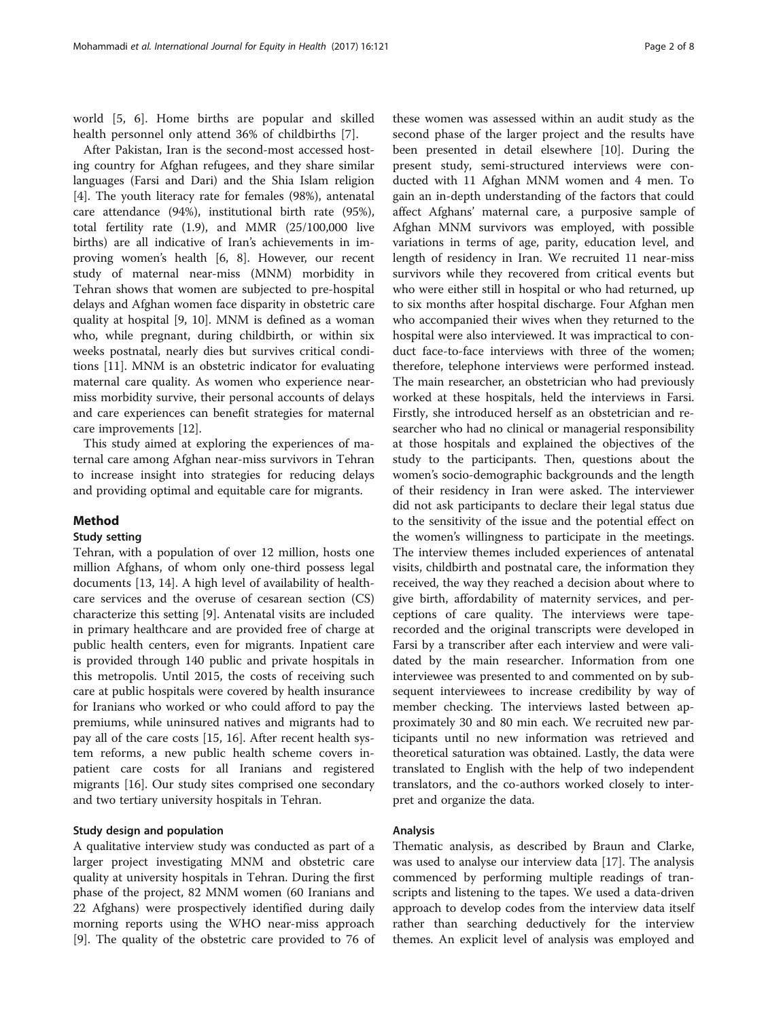world [\[5](#page-7-0), [6](#page-7-0)]. Home births are popular and skilled health personnel only attend 36% of childbirths [[7\]](#page-7-0).

After Pakistan, Iran is the second-most accessed hosting country for Afghan refugees, and they share similar languages (Farsi and Dari) and the Shia Islam religion [[4\]](#page-7-0). The youth literacy rate for females (98%), antenatal care attendance (94%), institutional birth rate (95%), total fertility rate (1.9), and MMR (25/100,000 live births) are all indicative of Iran's achievements in improving women's health [\[6](#page-7-0), [8\]](#page-7-0). However, our recent study of maternal near-miss (MNM) morbidity in Tehran shows that women are subjected to pre-hospital delays and Afghan women face disparity in obstetric care quality at hospital [\[9, 10\]](#page-7-0). MNM is defined as a woman who, while pregnant, during childbirth, or within six weeks postnatal, nearly dies but survives critical conditions [[11](#page-7-0)]. MNM is an obstetric indicator for evaluating maternal care quality. As women who experience nearmiss morbidity survive, their personal accounts of delays and care experiences can benefit strategies for maternal care improvements [\[12](#page-7-0)].

This study aimed at exploring the experiences of maternal care among Afghan near-miss survivors in Tehran to increase insight into strategies for reducing delays and providing optimal and equitable care for migrants.

# Method

# Study setting

Tehran, with a population of over 12 million, hosts one million Afghans, of whom only one-third possess legal documents [[13, 14\]](#page-7-0). A high level of availability of healthcare services and the overuse of cesarean section (CS) characterize this setting [\[9](#page-7-0)]. Antenatal visits are included in primary healthcare and are provided free of charge at public health centers, even for migrants. Inpatient care is provided through 140 public and private hospitals in this metropolis. Until 2015, the costs of receiving such care at public hospitals were covered by health insurance for Iranians who worked or who could afford to pay the premiums, while uninsured natives and migrants had to pay all of the care costs [\[15](#page-7-0), [16](#page-7-0)]. After recent health system reforms, a new public health scheme covers inpatient care costs for all Iranians and registered migrants [\[16](#page-7-0)]. Our study sites comprised one secondary and two tertiary university hospitals in Tehran.

# Study design and population

A qualitative interview study was conducted as part of a larger project investigating MNM and obstetric care quality at university hospitals in Tehran. During the first phase of the project, 82 MNM women (60 Iranians and 22 Afghans) were prospectively identified during daily morning reports using the WHO near-miss approach [[9\]](#page-7-0). The quality of the obstetric care provided to 76 of

these women was assessed within an audit study as the second phase of the larger project and the results have been presented in detail elsewhere [[10\]](#page-7-0). During the present study, semi-structured interviews were conducted with 11 Afghan MNM women and 4 men. To gain an in-depth understanding of the factors that could affect Afghans' maternal care, a purposive sample of Afghan MNM survivors was employed, with possible variations in terms of age, parity, education level, and length of residency in Iran. We recruited 11 near-miss survivors while they recovered from critical events but who were either still in hospital or who had returned, up to six months after hospital discharge. Four Afghan men who accompanied their wives when they returned to the hospital were also interviewed. It was impractical to conduct face-to-face interviews with three of the women; therefore, telephone interviews were performed instead. The main researcher, an obstetrician who had previously worked at these hospitals, held the interviews in Farsi. Firstly, she introduced herself as an obstetrician and researcher who had no clinical or managerial responsibility at those hospitals and explained the objectives of the study to the participants. Then, questions about the women's socio-demographic backgrounds and the length of their residency in Iran were asked. The interviewer did not ask participants to declare their legal status due to the sensitivity of the issue and the potential effect on the women's willingness to participate in the meetings. The interview themes included experiences of antenatal visits, childbirth and postnatal care, the information they received, the way they reached a decision about where to give birth, affordability of maternity services, and perceptions of care quality. The interviews were taperecorded and the original transcripts were developed in Farsi by a transcriber after each interview and were validated by the main researcher. Information from one interviewee was presented to and commented on by subsequent interviewees to increase credibility by way of member checking. The interviews lasted between approximately 30 and 80 min each. We recruited new participants until no new information was retrieved and theoretical saturation was obtained. Lastly, the data were translated to English with the help of two independent translators, and the co-authors worked closely to interpret and organize the data.

# Analysis

Thematic analysis, as described by Braun and Clarke, was used to analyse our interview data [[17\]](#page-7-0). The analysis commenced by performing multiple readings of transcripts and listening to the tapes. We used a data-driven approach to develop codes from the interview data itself rather than searching deductively for the interview themes. An explicit level of analysis was employed and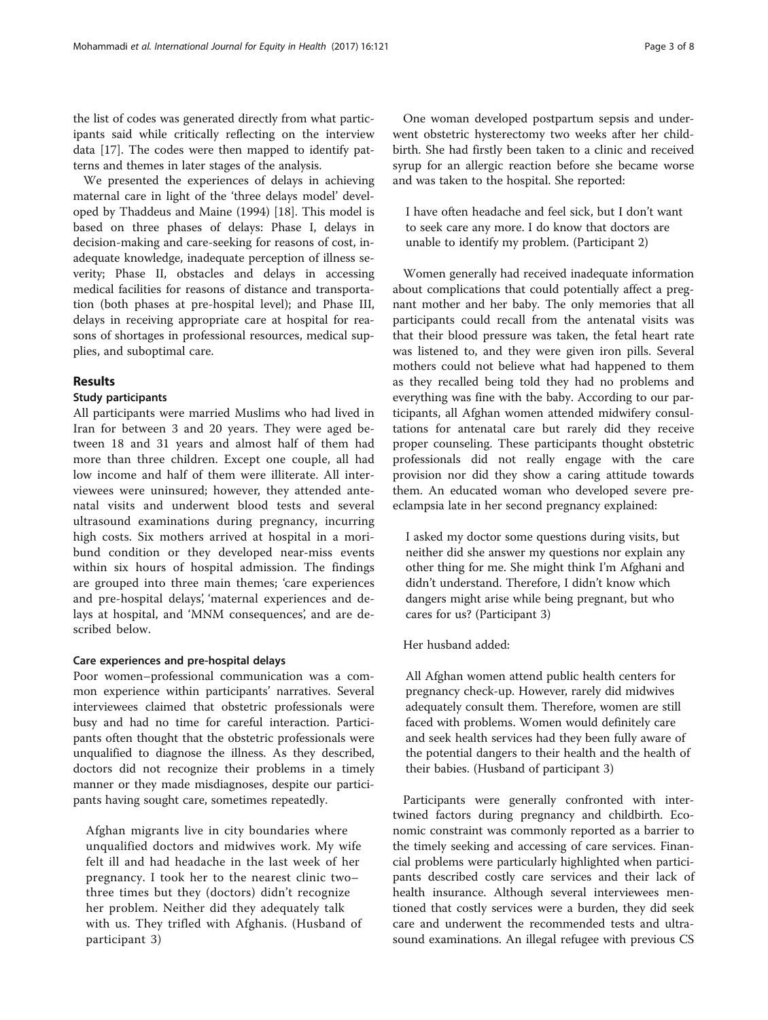the list of codes was generated directly from what participants said while critically reflecting on the interview data [[17\]](#page-7-0). The codes were then mapped to identify patterns and themes in later stages of the analysis.

We presented the experiences of delays in achieving maternal care in light of the 'three delays model' developed by Thaddeus and Maine (1994) [[18\]](#page-7-0). This model is based on three phases of delays: Phase I, delays in decision-making and care-seeking for reasons of cost, inadequate knowledge, inadequate perception of illness severity; Phase II, obstacles and delays in accessing medical facilities for reasons of distance and transportation (both phases at pre-hospital level); and Phase III, delays in receiving appropriate care at hospital for reasons of shortages in professional resources, medical supplies, and suboptimal care.

# Results

## Study participants

All participants were married Muslims who had lived in Iran for between 3 and 20 years. They were aged between 18 and 31 years and almost half of them had more than three children. Except one couple, all had low income and half of them were illiterate. All interviewees were uninsured; however, they attended antenatal visits and underwent blood tests and several ultrasound examinations during pregnancy, incurring high costs. Six mothers arrived at hospital in a moribund condition or they developed near-miss events within six hours of hospital admission. The findings are grouped into three main themes; 'care experiences and pre-hospital delays', 'maternal experiences and delays at hospital, and 'MNM consequences', and are described below.

# Care experiences and pre-hospital delays

Poor women–professional communication was a common experience within participants' narratives. Several interviewees claimed that obstetric professionals were busy and had no time for careful interaction. Participants often thought that the obstetric professionals were unqualified to diagnose the illness. As they described, doctors did not recognize their problems in a timely manner or they made misdiagnoses, despite our participants having sought care, sometimes repeatedly.

Afghan migrants live in city boundaries where unqualified doctors and midwives work. My wife felt ill and had headache in the last week of her pregnancy. I took her to the nearest clinic two– three times but they (doctors) didn't recognize her problem. Neither did they adequately talk with us. They trifled with Afghanis. (Husband of participant 3)

One woman developed postpartum sepsis and underwent obstetric hysterectomy two weeks after her childbirth. She had firstly been taken to a clinic and received syrup for an allergic reaction before she became worse and was taken to the hospital. She reported:

I have often headache and feel sick, but I don't want to seek care any more. I do know that doctors are unable to identify my problem. (Participant 2)

Women generally had received inadequate information about complications that could potentially affect a pregnant mother and her baby. The only memories that all participants could recall from the antenatal visits was that their blood pressure was taken, the fetal heart rate was listened to, and they were given iron pills. Several mothers could not believe what had happened to them as they recalled being told they had no problems and everything was fine with the baby. According to our participants, all Afghan women attended midwifery consultations for antenatal care but rarely did they receive proper counseling. These participants thought obstetric professionals did not really engage with the care provision nor did they show a caring attitude towards them. An educated woman who developed severe preeclampsia late in her second pregnancy explained:

I asked my doctor some questions during visits, but neither did she answer my questions nor explain any other thing for me. She might think I'm Afghani and didn't understand. Therefore, I didn't know which dangers might arise while being pregnant, but who cares for us? (Participant 3)

## Her husband added:

All Afghan women attend public health centers for pregnancy check-up. However, rarely did midwives adequately consult them. Therefore, women are still faced with problems. Women would definitely care and seek health services had they been fully aware of the potential dangers to their health and the health of their babies. (Husband of participant 3)

Participants were generally confronted with intertwined factors during pregnancy and childbirth. Economic constraint was commonly reported as a barrier to the timely seeking and accessing of care services. Financial problems were particularly highlighted when participants described costly care services and their lack of health insurance. Although several interviewees mentioned that costly services were a burden, they did seek care and underwent the recommended tests and ultrasound examinations. An illegal refugee with previous CS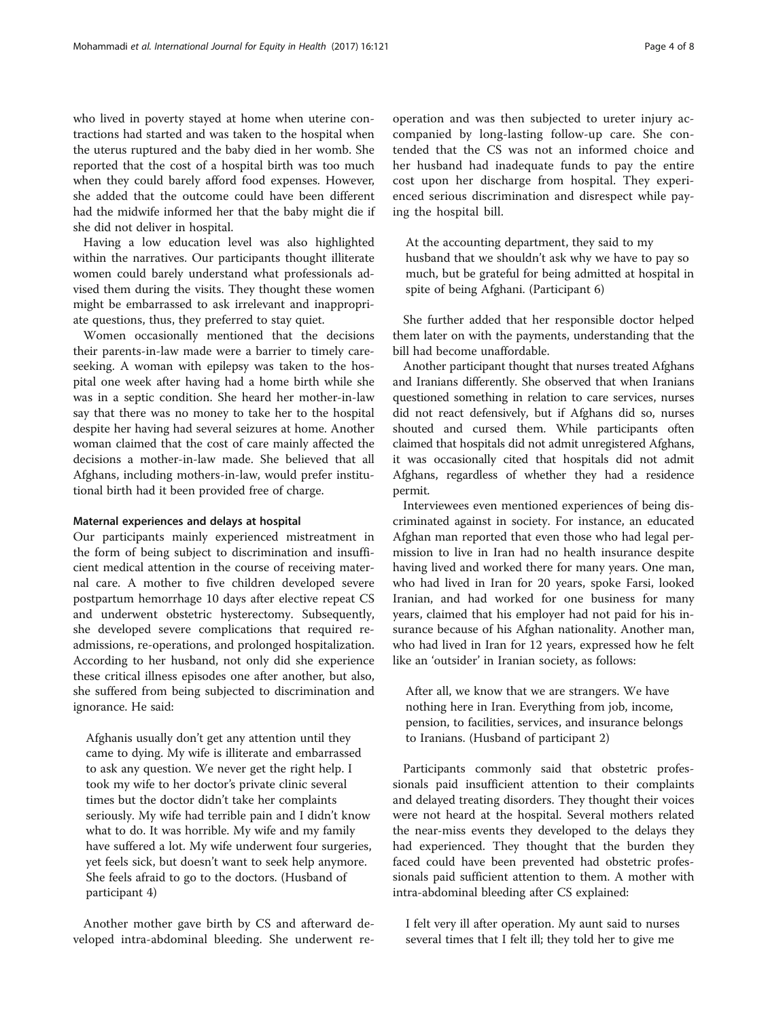who lived in poverty stayed at home when uterine contractions had started and was taken to the hospital when the uterus ruptured and the baby died in her womb. She reported that the cost of a hospital birth was too much when they could barely afford food expenses. However, she added that the outcome could have been different had the midwife informed her that the baby might die if she did not deliver in hospital.

Having a low education level was also highlighted within the narratives. Our participants thought illiterate women could barely understand what professionals advised them during the visits. They thought these women might be embarrassed to ask irrelevant and inappropriate questions, thus, they preferred to stay quiet.

Women occasionally mentioned that the decisions their parents-in-law made were a barrier to timely careseeking. A woman with epilepsy was taken to the hospital one week after having had a home birth while she was in a septic condition. She heard her mother-in-law say that there was no money to take her to the hospital despite her having had several seizures at home. Another woman claimed that the cost of care mainly affected the decisions a mother-in-law made. She believed that all Afghans, including mothers-in-law, would prefer institutional birth had it been provided free of charge.

#### Maternal experiences and delays at hospital

Our participants mainly experienced mistreatment in the form of being subject to discrimination and insufficient medical attention in the course of receiving maternal care. A mother to five children developed severe postpartum hemorrhage 10 days after elective repeat CS and underwent obstetric hysterectomy. Subsequently, she developed severe complications that required readmissions, re-operations, and prolonged hospitalization. According to her husband, not only did she experience these critical illness episodes one after another, but also, she suffered from being subjected to discrimination and ignorance. He said:

Afghanis usually don't get any attention until they came to dying. My wife is illiterate and embarrassed to ask any question. We never get the right help. I took my wife to her doctor's private clinic several times but the doctor didn't take her complaints seriously. My wife had terrible pain and I didn't know what to do. It was horrible. My wife and my family have suffered a lot. My wife underwent four surgeries, yet feels sick, but doesn't want to seek help anymore. She feels afraid to go to the doctors. (Husband of participant 4)

Another mother gave birth by CS and afterward developed intra-abdominal bleeding. She underwent re-

operation and was then subjected to ureter injury accompanied by long-lasting follow-up care. She contended that the CS was not an informed choice and her husband had inadequate funds to pay the entire cost upon her discharge from hospital. They experienced serious discrimination and disrespect while paying the hospital bill.

At the accounting department, they said to my husband that we shouldn't ask why we have to pay so much, but be grateful for being admitted at hospital in spite of being Afghani. (Participant 6)

She further added that her responsible doctor helped them later on with the payments, understanding that the bill had become unaffordable.

Another participant thought that nurses treated Afghans and Iranians differently. She observed that when Iranians questioned something in relation to care services, nurses did not react defensively, but if Afghans did so, nurses shouted and cursed them. While participants often claimed that hospitals did not admit unregistered Afghans, it was occasionally cited that hospitals did not admit Afghans, regardless of whether they had a residence permit.

Interviewees even mentioned experiences of being discriminated against in society. For instance, an educated Afghan man reported that even those who had legal permission to live in Iran had no health insurance despite having lived and worked there for many years. One man, who had lived in Iran for 20 years, spoke Farsi, looked Iranian, and had worked for one business for many years, claimed that his employer had not paid for his insurance because of his Afghan nationality. Another man, who had lived in Iran for 12 years, expressed how he felt like an 'outsider' in Iranian society, as follows:

After all, we know that we are strangers. We have nothing here in Iran. Everything from job, income, pension, to facilities, services, and insurance belongs to Iranians. (Husband of participant 2)

Participants commonly said that obstetric professionals paid insufficient attention to their complaints and delayed treating disorders. They thought their voices were not heard at the hospital. Several mothers related the near-miss events they developed to the delays they had experienced. They thought that the burden they faced could have been prevented had obstetric professionals paid sufficient attention to them. A mother with intra-abdominal bleeding after CS explained:

I felt very ill after operation. My aunt said to nurses several times that I felt ill; they told her to give me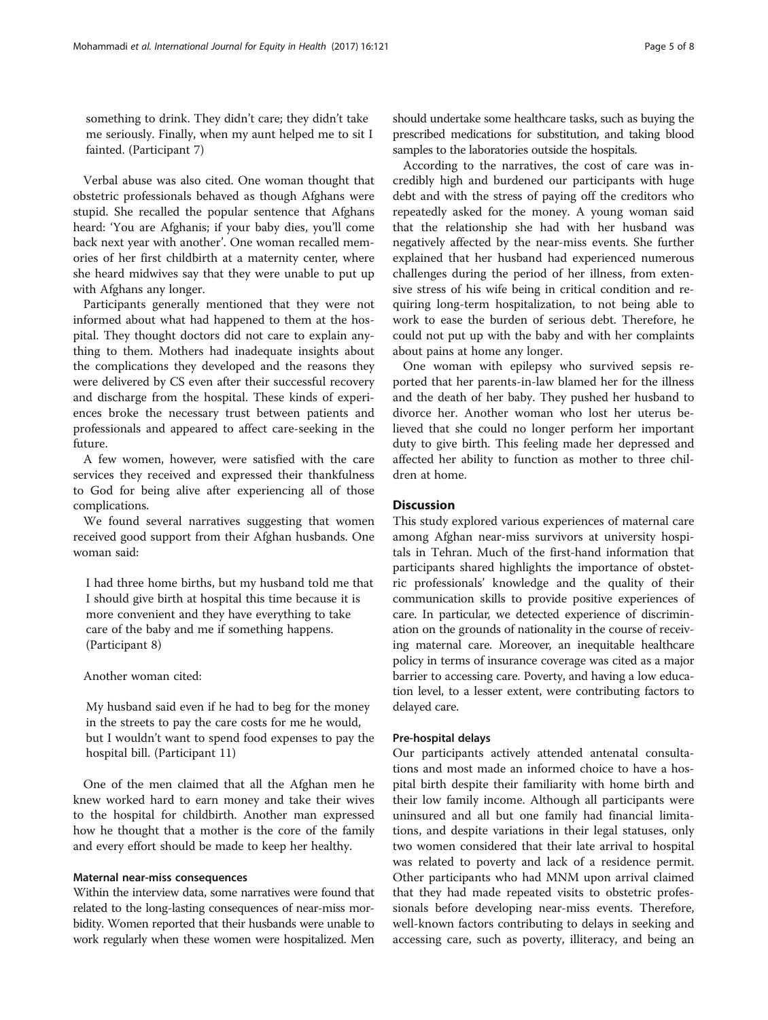something to drink. They didn't care; they didn't take me seriously. Finally, when my aunt helped me to sit I fainted. (Participant 7)

Verbal abuse was also cited. One woman thought that obstetric professionals behaved as though Afghans were stupid. She recalled the popular sentence that Afghans heard: 'You are Afghanis; if your baby dies, you'll come back next year with another'. One woman recalled memories of her first childbirth at a maternity center, where she heard midwives say that they were unable to put up with Afghans any longer.

Participants generally mentioned that they were not informed about what had happened to them at the hospital. They thought doctors did not care to explain anything to them. Mothers had inadequate insights about the complications they developed and the reasons they were delivered by CS even after their successful recovery and discharge from the hospital. These kinds of experiences broke the necessary trust between patients and professionals and appeared to affect care-seeking in the future.

A few women, however, were satisfied with the care services they received and expressed their thankfulness to God for being alive after experiencing all of those complications.

We found several narratives suggesting that women received good support from their Afghan husbands. One woman said:

I had three home births, but my husband told me that I should give birth at hospital this time because it is more convenient and they have everything to take care of the baby and me if something happens. (Participant 8)

Another woman cited:

My husband said even if he had to beg for the money in the streets to pay the care costs for me he would, but I wouldn't want to spend food expenses to pay the hospital bill. (Participant 11)

One of the men claimed that all the Afghan men he knew worked hard to earn money and take their wives to the hospital for childbirth. Another man expressed how he thought that a mother is the core of the family and every effort should be made to keep her healthy.

## Maternal near-miss consequences

Within the interview data, some narratives were found that related to the long-lasting consequences of near-miss morbidity. Women reported that their husbands were unable to work regularly when these women were hospitalized. Men

should undertake some healthcare tasks, such as buying the prescribed medications for substitution, and taking blood samples to the laboratories outside the hospitals.

According to the narratives, the cost of care was incredibly high and burdened our participants with huge debt and with the stress of paying off the creditors who repeatedly asked for the money. A young woman said that the relationship she had with her husband was negatively affected by the near-miss events. She further explained that her husband had experienced numerous challenges during the period of her illness, from extensive stress of his wife being in critical condition and requiring long-term hospitalization, to not being able to work to ease the burden of serious debt. Therefore, he could not put up with the baby and with her complaints about pains at home any longer.

One woman with epilepsy who survived sepsis reported that her parents-in-law blamed her for the illness and the death of her baby. They pushed her husband to divorce her. Another woman who lost her uterus believed that she could no longer perform her important duty to give birth. This feeling made her depressed and affected her ability to function as mother to three children at home.

# Discussion

This study explored various experiences of maternal care among Afghan near-miss survivors at university hospitals in Tehran. Much of the first-hand information that participants shared highlights the importance of obstetric professionals' knowledge and the quality of their communication skills to provide positive experiences of care. In particular, we detected experience of discrimination on the grounds of nationality in the course of receiving maternal care. Moreover, an inequitable healthcare policy in terms of insurance coverage was cited as a major barrier to accessing care. Poverty, and having a low education level, to a lesser extent, were contributing factors to delayed care.

#### Pre-hospital delays

Our participants actively attended antenatal consultations and most made an informed choice to have a hospital birth despite their familiarity with home birth and their low family income. Although all participants were uninsured and all but one family had financial limitations, and despite variations in their legal statuses, only two women considered that their late arrival to hospital was related to poverty and lack of a residence permit. Other participants who had MNM upon arrival claimed that they had made repeated visits to obstetric professionals before developing near-miss events. Therefore, well-known factors contributing to delays in seeking and accessing care, such as poverty, illiteracy, and being an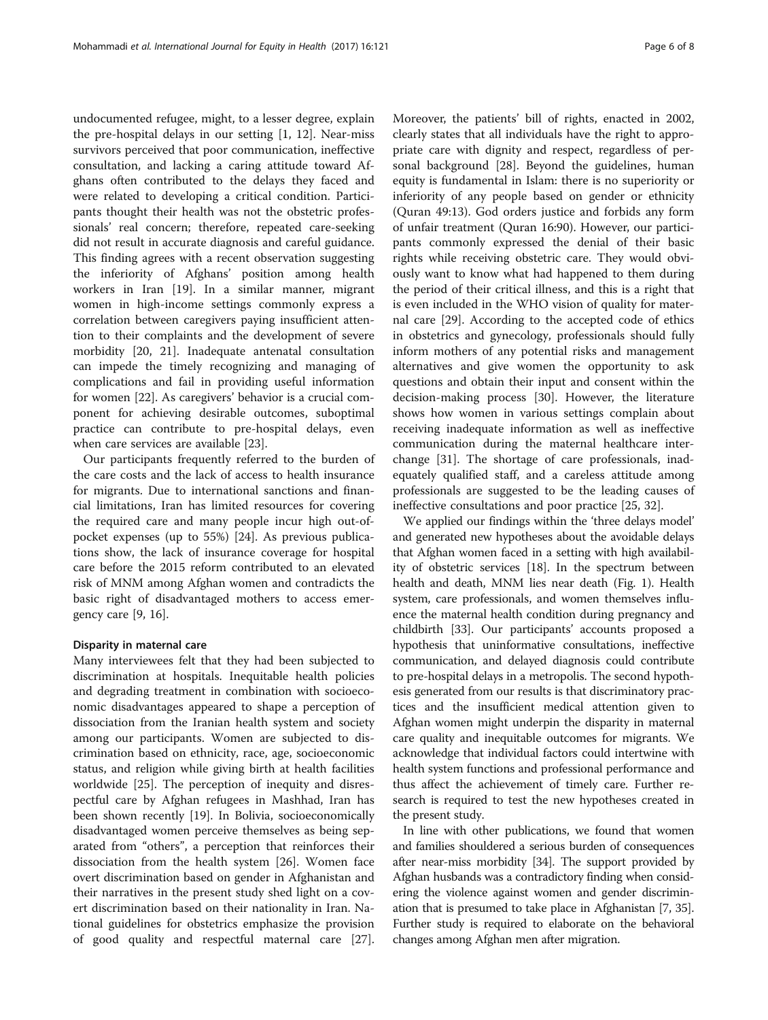undocumented refugee, might, to a lesser degree, explain the pre-hospital delays in our setting [[1, 12\]](#page-7-0). Near-miss survivors perceived that poor communication, ineffective consultation, and lacking a caring attitude toward Afghans often contributed to the delays they faced and were related to developing a critical condition. Participants thought their health was not the obstetric professionals' real concern; therefore, repeated care-seeking did not result in accurate diagnosis and careful guidance. This finding agrees with a recent observation suggesting the inferiority of Afghans' position among health workers in Iran [[19](#page-7-0)]. In a similar manner, migrant women in high-income settings commonly express a correlation between caregivers paying insufficient attention to their complaints and the development of severe morbidity [[20, 21\]](#page-7-0). Inadequate antenatal consultation can impede the timely recognizing and managing of complications and fail in providing useful information for women [\[22](#page-7-0)]. As caregivers' behavior is a crucial component for achieving desirable outcomes, suboptimal practice can contribute to pre-hospital delays, even when care services are available [\[23](#page-7-0)].

Our participants frequently referred to the burden of the care costs and the lack of access to health insurance for migrants. Due to international sanctions and financial limitations, Iran has limited resources for covering the required care and many people incur high out-ofpocket expenses (up to 55%) [[24\]](#page-7-0). As previous publications show, the lack of insurance coverage for hospital care before the 2015 reform contributed to an elevated risk of MNM among Afghan women and contradicts the basic right of disadvantaged mothers to access emergency care [[9, 16\]](#page-7-0).

#### Disparity in maternal care

Many interviewees felt that they had been subjected to discrimination at hospitals. Inequitable health policies and degrading treatment in combination with socioeconomic disadvantages appeared to shape a perception of dissociation from the Iranian health system and society among our participants. Women are subjected to discrimination based on ethnicity, race, age, socioeconomic status, and religion while giving birth at health facilities worldwide [[25](#page-7-0)]. The perception of inequity and disrespectful care by Afghan refugees in Mashhad, Iran has been shown recently [\[19](#page-7-0)]. In Bolivia, socioeconomically disadvantaged women perceive themselves as being separated from "others", a perception that reinforces their dissociation from the health system [[26\]](#page-7-0). Women face overt discrimination based on gender in Afghanistan and their narratives in the present study shed light on a covert discrimination based on their nationality in Iran. National guidelines for obstetrics emphasize the provision of good quality and respectful maternal care [\[27](#page-7-0)]. Moreover, the patients' bill of rights, enacted in 2002, clearly states that all individuals have the right to appropriate care with dignity and respect, regardless of personal background [[28\]](#page-7-0). Beyond the guidelines, human equity is fundamental in Islam: there is no superiority or inferiority of any people based on gender or ethnicity (Quran 49:13). God orders justice and forbids any form of unfair treatment (Quran 16:90). However, our participants commonly expressed the denial of their basic rights while receiving obstetric care. They would obviously want to know what had happened to them during the period of their critical illness, and this is a right that is even included in the WHO vision of quality for maternal care [\[29](#page-7-0)]. According to the accepted code of ethics in obstetrics and gynecology, professionals should fully inform mothers of any potential risks and management alternatives and give women the opportunity to ask questions and obtain their input and consent within the decision-making process [\[30](#page-7-0)]. However, the literature shows how women in various settings complain about receiving inadequate information as well as ineffective communication during the maternal healthcare interchange [[31](#page-7-0)]. The shortage of care professionals, inadequately qualified staff, and a careless attitude among professionals are suggested to be the leading causes of ineffective consultations and poor practice [[25, 32\]](#page-7-0).

We applied our findings within the 'three delays model' and generated new hypotheses about the avoidable delays that Afghan women faced in a setting with high availability of obstetric services [[18](#page-7-0)]. In the spectrum between health and death, MNM lies near death (Fig. [1](#page-6-0)). Health system, care professionals, and women themselves influence the maternal health condition during pregnancy and childbirth [[33](#page-7-0)]. Our participants' accounts proposed a hypothesis that uninformative consultations, ineffective communication, and delayed diagnosis could contribute to pre-hospital delays in a metropolis. The second hypothesis generated from our results is that discriminatory practices and the insufficient medical attention given to Afghan women might underpin the disparity in maternal care quality and inequitable outcomes for migrants. We acknowledge that individual factors could intertwine with health system functions and professional performance and thus affect the achievement of timely care. Further research is required to test the new hypotheses created in the present study.

In line with other publications, we found that women and families shouldered a serious burden of consequences after near-miss morbidity [[34](#page-7-0)]. The support provided by Afghan husbands was a contradictory finding when considering the violence against women and gender discrimination that is presumed to take place in Afghanistan [\[7, 35](#page-7-0)]. Further study is required to elaborate on the behavioral changes among Afghan men after migration.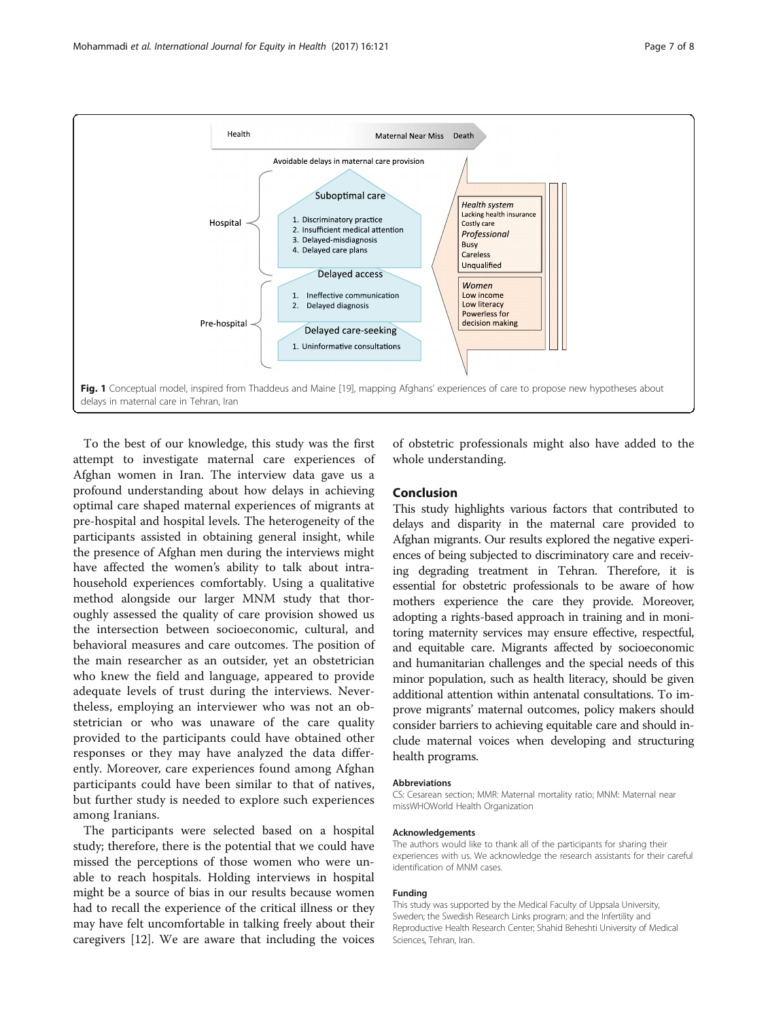<span id="page-6-0"></span>

To the best of our knowledge, this study was the first attempt to investigate maternal care experiences of Afghan women in Iran. The interview data gave us a profound understanding about how delays in achieving optimal care shaped maternal experiences of migrants at pre-hospital and hospital levels. The heterogeneity of the participants assisted in obtaining general insight, while the presence of Afghan men during the interviews might have affected the women's ability to talk about intrahousehold experiences comfortably. Using a qualitative method alongside our larger MNM study that thoroughly assessed the quality of care provision showed us the intersection between socioeconomic, cultural, and behavioral measures and care outcomes. The position of the main researcher as an outsider, yet an obstetrician who knew the field and language, appeared to provide adequate levels of trust during the interviews. Nevertheless, employing an interviewer who was not an obstetrician or who was unaware of the care quality provided to the participants could have obtained other responses or they may have analyzed the data differently. Moreover, care experiences found among Afghan participants could have been similar to that of natives, but further study is needed to explore such experiences among Iranians.

The participants were selected based on a hospital study; therefore, there is the potential that we could have missed the perceptions of those women who were unable to reach hospitals. Holding interviews in hospital might be a source of bias in our results because women had to recall the experience of the critical illness or they may have felt uncomfortable in talking freely about their caregivers [\[12](#page-7-0)]. We are aware that including the voices

of obstetric professionals might also have added to the whole understanding.

#### Conclusion

This study highlights various factors that contributed to delays and disparity in the maternal care provided to Afghan migrants. Our results explored the negative experiences of being subjected to discriminatory care and receiving degrading treatment in Tehran. Therefore, it is essential for obstetric professionals to be aware of how mothers experience the care they provide. Moreover, adopting a rights-based approach in training and in monitoring maternity services may ensure effective, respectful, and equitable care. Migrants affected by socioeconomic and humanitarian challenges and the special needs of this minor population, such as health literacy, should be given additional attention within antenatal consultations. To improve migrants' maternal outcomes, policy makers should consider barriers to achieving equitable care and should include maternal voices when developing and structuring health programs.

#### Abbreviations

CS: Cesarean section; MMR: Maternal mortality ratio; MNM: Maternal near missWHOWorld Health Organization

#### Acknowledgements

The authors would like to thank all of the participants for sharing their experiences with us. We acknowledge the research assistants for their careful identification of MNM cases.

#### Funding

This study was supported by the Medical Faculty of Uppsala University, Sweden; the Swedish Research Links program; and the Infertility and Reproductive Health Research Center; Shahid Beheshti University of Medical Sciences, Tehran, Iran.